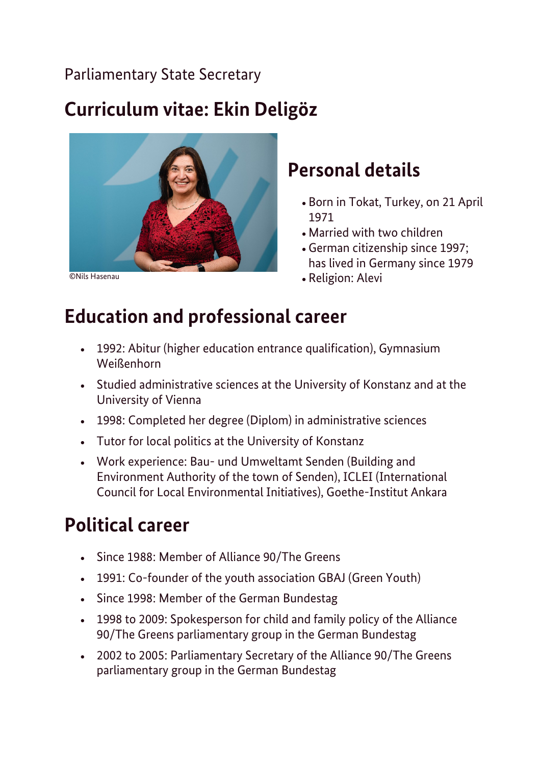#### Parliamentary State Secretary

# **Curriculum vitae: Ekin Deligöz**



©Nils Hasenau

### **Personal details**

- Born in Tokat, Turkey, on 21 April 1971
- Married with two children
- German citizenship since 1997; has lived in Germany since 1979
- Religion: Alevi

# **Education and professional career**

- 1992: Abitur (higher education entrance qualification), Gymnasium Weißenhorn
- Studied administrative sciences at the University of Konstanz and at the University of Vienna
- 1998: Completed her degree (Diplom) in administrative sciences
- Tutor for local politics at the University of Konstanz
- Work experience: Bau- und Umweltamt Senden (Building and Environment Authority of the town of Senden), ICLEI (International Council for Local Environmental Initiatives), Goethe-Institut Ankara

# **Political career**

- Since 1988: Member of Alliance 90/The Greens
- 1991: Co-founder of the youth association GBAJ (Green Youth)
- Since 1998: Member of the German Bundestag
- 1998 to 2009: Spokesperson for child and family policy of the Alliance 90/The Greens parliamentary group in the German Bundestag
- 2002 to 2005: Parliamentary Secretary of the Alliance 90/The Greens parliamentary group in the German Bundestag